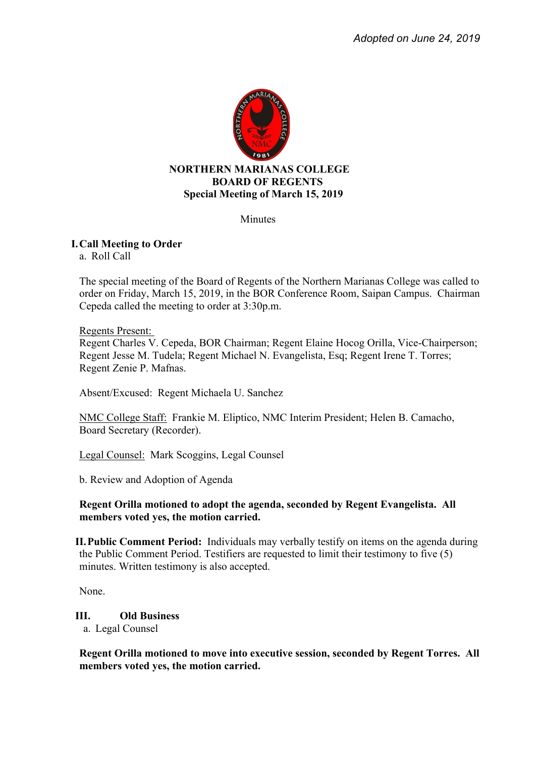

**Minutes** 

# **I.Call Meeting to Order**

a. Roll Call

The special meeting of the Board of Regents of the Northern Marianas College was called to order on Friday, March 15, 2019, in the BOR Conference Room, Saipan Campus. Chairman Cepeda called the meeting to order at 3:30p.m.

### Regents Present:

Regent Charles V. Cepeda, BOR Chairman; Regent Elaine Hocog Orilla, Vice-Chairperson; Regent Jesse M. Tudela; Regent Michael N. Evangelista, Esq; Regent Irene T. Torres; Regent Zenie P. Mafnas.

Absent/Excused: Regent Michaela U. Sanchez

NMC College Staff: Frankie M. Eliptico, NMC Interim President; Helen B. Camacho, Board Secretary (Recorder).

Legal Counsel: Mark Scoggins, Legal Counsel

b. Review and Adoption of Agenda

## **Regent Orilla motioned to adopt the agenda, seconded by Regent Evangelista. All members voted yes, the motion carried.**

**II.Public Comment Period:** Individuals may verbally testify on items on the agenda during the Public Comment Period. Testifiers are requested to limit their testimony to five (5) minutes. Written testimony is also accepted.

None.

**III. Old Business** 

a. Legal Counsel

**Regent Orilla motioned to move into executive session, seconded by Regent Torres. All members voted yes, the motion carried.**